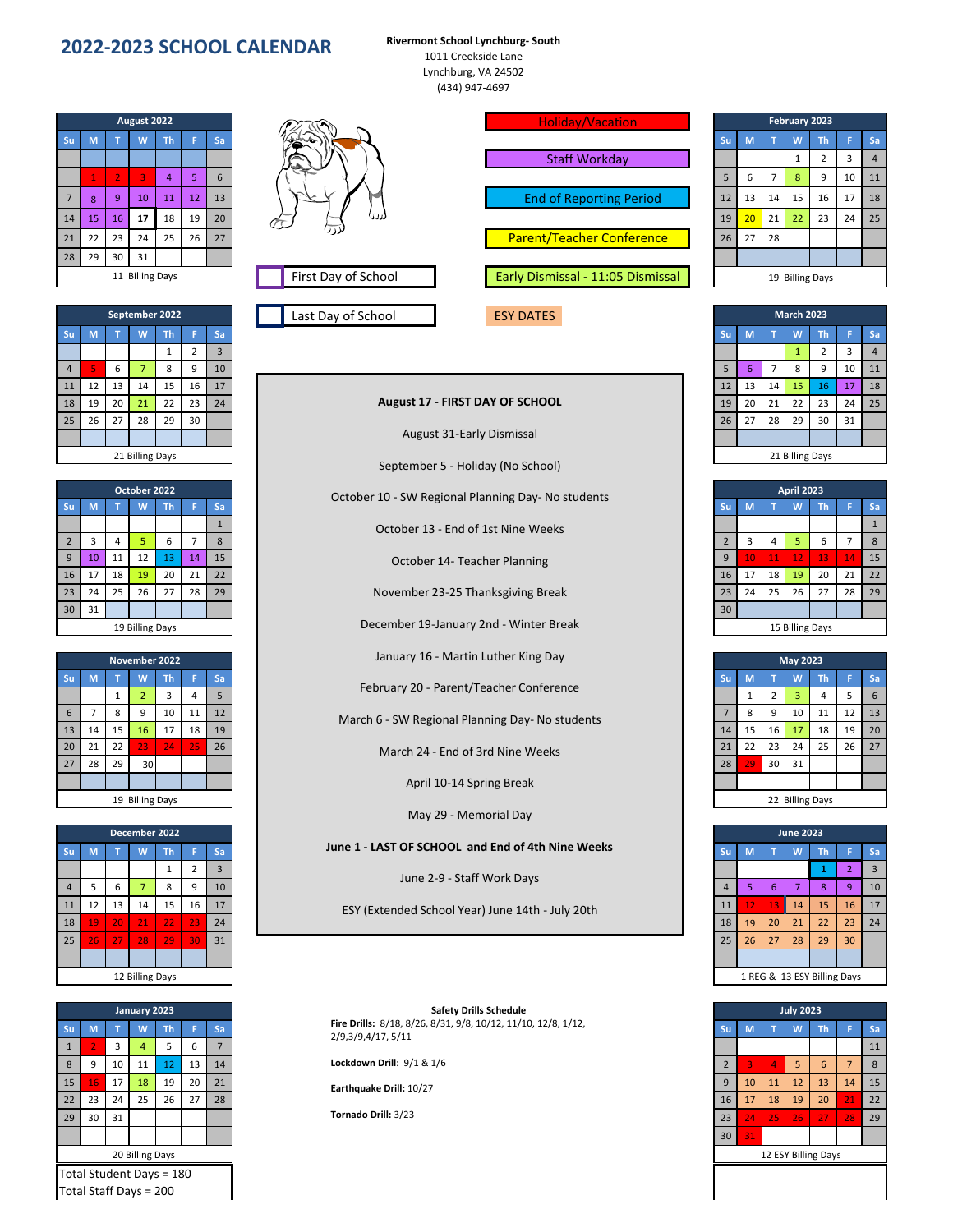## **2022-2023 SCHOOL CALENDAR Rivermont School Lynchburg- South**

1011 Creekside Lane Lynchburg, VA 24502 (434) 947-4697

September 5 - Holiday (No School) October 10 - SW Regional Planning Day- No students

January 16 - Martin Luther King Day

April 10-14 Spring Break May 29 - Memorial Day

28 29 30 31 **August 2022** 11 Billing Days

|                 | September 2022 |                 |    |           |    |    | Last Day of School<br><b>ESY DATES</b> | <b>March 2023</b> |    |    |    |                 |    |                  |
|-----------------|----------------|-----------------|----|-----------|----|----|----------------------------------------|-------------------|----|----|----|-----------------|----|------------------|
| <b>Su</b>       | M              |                 | w  | <b>Th</b> |    | Sa |                                        |                   | M  |    | W  | <b>Th</b>       |    | Sa               |
|                 |                |                 |    |           |    |    |                                        |                   |    |    |    |                 |    | $\boldsymbol{A}$ |
| $\overline{4}$  |                | 6               |    | 8         | 9  | 10 |                                        |                   | ь. |    | 8  |                 | 10 | 11               |
| 11              | 12             | 13 <sup>1</sup> | 14 | 15        | 16 | 17 |                                        | 12                | 13 | 14 | 15 | 16              |    | 18               |
| 18              | 19             | 20 <sub>1</sub> | 21 | 22        | 23 | 24 | <b>August 17 - FIRST DAY OF SCHOOL</b> | 19                | 20 | 21 | 22 | 23              | 24 | 25               |
| 25              | 26             | 27              | 28 | 29        | 30 |    |                                        | 26                | 27 | 28 | 29 | 30              | 31 |                  |
|                 |                |                 |    |           |    |    | <b>August 31-Early Dismissal</b>       |                   |    |    |    |                 |    |                  |
| 21 Billing Days |                |                 |    |           |    |    | <b>CONTRACTOR</b>                      |                   |    |    |    | 21 Billing Days |    |                  |

|                 | October 2022 |    |    |    |    |    |
|-----------------|--------------|----|----|----|----|----|
| <b>Su</b>       |              |    |    | Th |    | Sa |
|                 |              |    |    |    |    |    |
|                 |              |    |    | b  |    | Õ. |
| 9               | 10           | 11 | 12 | 13 | 14 | 15 |
| 16              | 17           | 18 | 19 | 20 | 21 | 22 |
| 23              | 24           | 25 | 26 | 27 | 28 | 29 |
| 30              | 31           |    |    |    |    |    |
| 19 Billing Days |              |    |    |    |    |    |

| November 2022   |    |                 |                 |       |                 |    |
|-----------------|----|-----------------|-----------------|-------|-----------------|----|
|                 |    |                 |                 | Th    |                 | Sa |
|                 |    |                 |                 | -3    |                 |    |
|                 |    | 8               |                 | 10    | 11              | 12 |
|                 | 14 | 15              | 16              | 17    | 18              | 19 |
|                 | 21 | 22 <sub>1</sub> | $23 -$          | $-24$ | $\overline{25}$ | 26 |
| 27              | 28 | 29              | 30 <sup>1</sup> |       |                 |    |
|                 |    |                 |                 |       |                 |    |
| 19 Billing Days |    |                 |                 |       |                 |    |

| December 2022   |          |                 |    |           |              |    |
|-----------------|----------|-----------------|----|-----------|--------------|----|
| <b>Su</b>       |          |                 |    | <b>Th</b> |              | Sa |
|                 |          |                 |    |           |              |    |
|                 |          |                 |    | 8         | $\mathbf{q}$ | 10 |
|                 | 12       | 13              | 14 | 15        | 16           | 17 |
| 18              | 19       | 20              | 21 | $-22$     | $\sqrt{23}$  | 24 |
|                 | 25<br>26 | 27 <sup>1</sup> | 28 | 29        | <b>\ 30\</b> | 31 |
|                 |          |                 |    |           |              |    |
| 12 Billing Days |          |                 |    |           |              |    |

|                          | January 2023 |    |    |           |    |    |
|--------------------------|--------------|----|----|-----------|----|----|
| <b>Su</b>                |              |    | W  | <b>Th</b> |    | Sa |
| $\mathbf{1}$             |              |    |    | 5         | 6  |    |
| 8                        | 9            | 10 | 11 | 12        | 13 | 14 |
| 15                       | 16           | 17 | 18 | 19        | 20 | 21 |
| 22                       | 23           | 24 | 25 | 26        | 27 | 28 |
| 29                       | 30           | 31 |    |           |    |    |
|                          |              |    |    |           |    |    |
| 20 Billing Days          |              |    |    |           |    |    |
| Total Student Days = 180 |              |    |    |           |    |    |
| Total Staff Days = 200   |              |    |    |           |    |    |



|                 | August 2022  |                 |                 |           |    |    | <b>Holiday/Vacation</b> |                                   |           |                 |    | February 2023 |                 |    |    |  |  |  |  |  |
|-----------------|--------------|-----------------|-----------------|-----------|----|----|-------------------------|-----------------------------------|-----------|-----------------|----|---------------|-----------------|----|----|--|--|--|--|--|
| Su              | M            |                 | W               | <b>Th</b> |    | Sa |                         |                                   | <b>Su</b> | M               |    | W             | Th              |    | Sa |  |  |  |  |  |
|                 |              |                 |                 |           |    |    |                         | <b>Staff Workday</b>              |           |                 |    | 1             |                 | 3  |    |  |  |  |  |  |
|                 |              |                 | 3               |           |    | 6  |                         |                                   | 5         | b               |    | 8             |                 | 10 | 11 |  |  |  |  |  |
| 7 <sup>7</sup>  | $\mathbf{8}$ | 9               | 10 <sup>1</sup> | 11        | 12 | 13 |                         | <b>End of Reporting Period</b>    | 12        | 13              | 14 | 15            | 16              | 17 | 18 |  |  |  |  |  |
| 14              | 15           | 16 <sup>1</sup> | 17              | 18        | 19 | 20 | لالا کا<br>ΦJ           |                                   | 19        | 20 <sub>2</sub> | 21 | 22            | 23              | 24 | 25 |  |  |  |  |  |
| 21              | 22           | 23 <sup>1</sup> | 24              | 25        | 26 | 27 | ננד/                    | <b>Parent/Teacher Conference</b>  | 26        | 27              | 28 |               |                 |    |    |  |  |  |  |  |
| 28              | 29           | 30              | 31              |           |    |    |                         |                                   |           |                 |    |               |                 |    |    |  |  |  |  |  |
| 11 Billing Days |              |                 |                 |           |    |    | First Day of School     | Early Dismissal - 11:05 Dismissal |           |                 |    |               | 19 Billing Days |    |    |  |  |  |  |  |
|                 |              |                 |                 |           |    |    |                         |                                   |           |                 |    |               |                 |    |    |  |  |  |  |  |

|    | February 2023             |                |              |                |    |                |  |  |  |  |  |  |  |  |
|----|---------------------------|----------------|--------------|----------------|----|----------------|--|--|--|--|--|--|--|--|
| Su | M                         | T              | W            | Th             | F  | Sa             |  |  |  |  |  |  |  |  |
|    |                           |                | $\mathbf{1}$ | $\overline{2}$ | 3  | $\overline{4}$ |  |  |  |  |  |  |  |  |
| 5  | 6                         | $\overline{7}$ | 8            | 9              | 10 | 11             |  |  |  |  |  |  |  |  |
| 12 | 13                        | 14             | 15           | 16             | 17 | 18             |  |  |  |  |  |  |  |  |
| 19 | 20                        | 21             | 22           | 23             | 24 | 25             |  |  |  |  |  |  |  |  |
| 26 | 27                        | 28             |              |                |    |                |  |  |  |  |  |  |  |  |
|    |                           |                |              |                |    |                |  |  |  |  |  |  |  |  |
|    | <b>Billing Days</b><br>19 |                |              |                |    |                |  |  |  |  |  |  |  |  |

|                 | September 2022 |    |    |           |    |    | Last Day of School<br><b>ESY DATES</b> | <b>March 2023</b> |    |                 |    |           |    |                |  |
|-----------------|----------------|----|----|-----------|----|----|----------------------------------------|-------------------|----|-----------------|----|-----------|----|----------------|--|
| ìи.             | M              |    | W  | <b>Th</b> |    | Sa |                                        | Su                |    |                 | W  | <b>Th</b> |    | l Sa           |  |
|                 |                |    |    |           |    |    |                                        |                   |    |                 |    |           |    | $\overline{a}$ |  |
|                 | 5              | 6  |    | 8         | 9  | 10 |                                        | 5                 | 6  |                 | 8  | 9         | 10 | $\vert$ 11     |  |
|                 | 12             | 13 | 14 | 15        | 16 | 17 |                                        | 12 <sup>1</sup>   | 13 | 14              | 15 | 16        | 17 | 18             |  |
| 8 <sup>1</sup>  | 19             | 20 | 21 | 22        | 23 | 24 | <b>August 17 - FIRST DAY OF SCHOOL</b> | 19                | 20 | 21              | 22 | 23        | 24 | 25             |  |
| $25 -$          | 26 I           | 27 | 28 | 29        | 30 |    |                                        | 26 <sub>1</sub>   | 27 | 28              | 29 | 30        | 31 |                |  |
|                 |                |    |    |           |    |    | <b>August 31-Early Dismissal</b>       |                   |    |                 |    |           |    |                |  |
| 21 Billing Days |                |    |    |           |    |    |                                        |                   |    | 21 Billing Days |    |           |    |                |  |

|  | 21 Billing Da |  |
|--|---------------|--|
|  |               |  |

|                | October 10 - SW Regional Planning Day-No students |    | <b>April 2023</b> |    |    |    |    |    |    |  |  |
|----------------|---------------------------------------------------|----|-------------------|----|----|----|----|----|----|--|--|
| ša             |                                                   | Su | M                 |    | W  | Th |    | Sa |    |  |  |
|                | October 13 - End of 1st Nine Weeks                |    |                   |    |    |    |    |    |    |  |  |
| 8              |                                                   |    |                   |    |    |    | 6  |    |    |  |  |
| L5             | October 14- Teacher Planning                      |    | $\mathbf{q}$      | 10 | 11 | 12 | 13 | 14 | 15 |  |  |
| $\overline{2}$ |                                                   |    | 16                | 17 | 18 | 19 | 20 | 21 | 22 |  |  |
| $\frac{1}{2}$  | November 23-25 Thanksgiving Break                 |    | 23                | 24 | 25 | 26 | 27 | 28 | 29 |  |  |
|                |                                                   |    | 30                |    |    |    |    |    |    |  |  |
|                | December 19-January 2nd - Winter Break            |    | 15 Billing Days   |    |    |    |    |    |    |  |  |

|                    | November 2022 |    |                 |           |       |    |
|--------------------|---------------|----|-----------------|-----------|-------|----|
| ìи.                | M             |    |                 | <b>Th</b> |       | Sa |
|                    |               |    |                 |           |       |    |
|                    |               | 8  | q               | 10        | 11    | 12 |
| $\overline{3}$     | 14            | 15 | 16 <sup>1</sup> | 17        | 18    | 19 |
| 20 <sup>1</sup>    | 21            | 22 | $23 -$          | 24        | $-25$ | 26 |
|                    | 28            | 29 | 30 <sup>1</sup> |           |       |    |
|                    |               |    |                 |           |       |    |
| $40.00104 - 04.04$ |               |    |                 |           |       |    |

| )22 |     |    |                                                   |           |    |    | <b>June 2023</b> |                             |    |           |
|-----|-----|----|---------------------------------------------------|-----------|----|----|------------------|-----------------------------|----|-----------|
| Th. |     | Sa | June 1 - LAST OF SCHOOL and End of 4th Nine Weeks | <b>Su</b> | M  |    | $\mathsf{w}$     | Th                          |    | <b>Sa</b> |
|     |     |    | June 2-9 - Staff Work Days                        |           |    |    |                  |                             |    |           |
| 8   |     | 10 |                                                   |           |    | ь  |                  | 8                           |    | 10        |
| 5.  | 16  | 17 | ESY (Extended School Year) June 14th - July 20th  | 11        |    | 13 | 14               | 15                          | 16 | 17        |
|     | -23 | 24 |                                                   | 18        | 19 | 20 | 21               | 22                          | 23 | 24        |
|     | 30  | 31 |                                                   | 25        | 26 | 27 | 28               | 29                          | 30 |           |
|     |     |    |                                                   |           |    |    |                  |                             |    |           |
| ys  |     |    |                                                   |           |    |    |                  | 1 REG & 13 ESY Billing Days |    |           |

| <b>July 2023</b>    |    |    |    |                 |                |    |
|---------------------|----|----|----|-----------------|----------------|----|
| Su                  | M  | т  | W  | Th              | Ë              | Sa |
|                     |    |    |    |                 |                | 11 |
| $\overline{2}$      | 3  | 4  | 5  | $6\phantom{1}6$ | $\overline{7}$ | 8  |
| 9                   | 10 | 11 | 12 | 13              | 14             | 15 |
| 16                  | 17 | 18 | 19 | 20              | 21             | 22 |
| 23                  | 24 | 25 | 26 | 27              | 28             | 29 |
| 30                  | 31 |    |    |                 |                |    |
| 12 ESY Billing Days |    |    |    |                 |                |    |

## **Su M T W Th F Sa Su M T W Th F Sa Fire Drills:** 8/18, 8/26, 8/31, 9/8, 10/12, 11/10, 12/8, 1/12, **Safety Drills Schedule** 2/9,3/9,4/17, 5/11